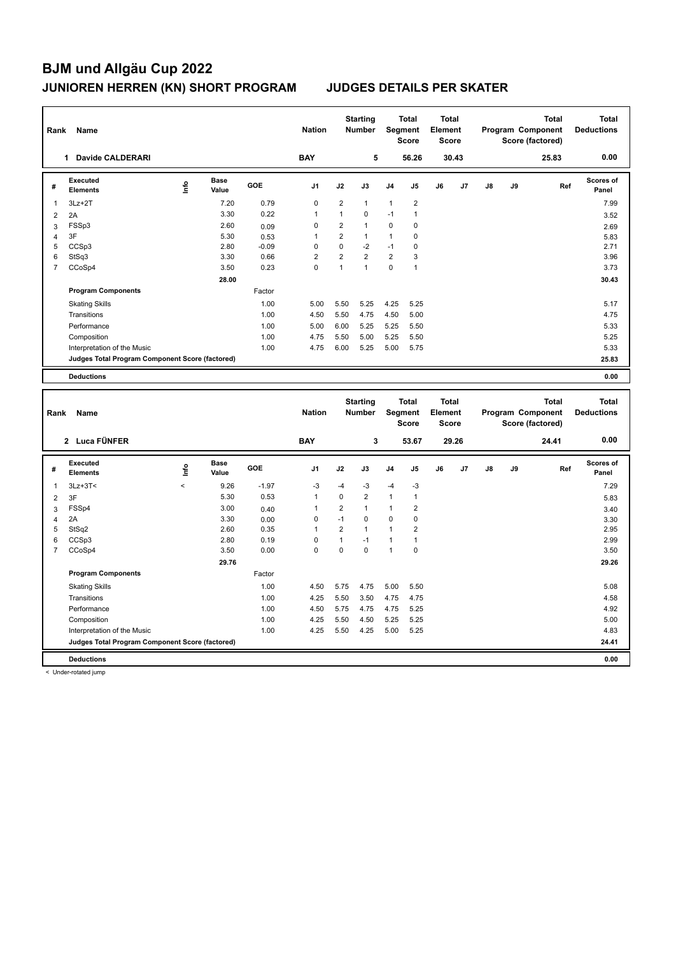|                | Rank<br>Name                                    |      |                      |            | <b>Nation</b>  |                | <b>Starting</b><br><b>Number</b> | <b>Total</b><br>Segment<br><b>Score</b> |                | <b>Total</b><br>Element<br><b>Score</b> |       | <b>Total</b><br>Program Component<br>Score (factored) |    |       | <b>Total</b><br><b>Deductions</b> |
|----------------|-------------------------------------------------|------|----------------------|------------|----------------|----------------|----------------------------------|-----------------------------------------|----------------|-----------------------------------------|-------|-------------------------------------------------------|----|-------|-----------------------------------|
|                | Davide CALDERARI                                |      |                      |            | <b>BAY</b>     |                | 5                                |                                         | 56.26          |                                         | 30.43 |                                                       |    | 25.83 | 0.00                              |
| #              | <b>Executed</b><br><b>Elements</b>              | Life | <b>Base</b><br>Value | <b>GOE</b> | J <sub>1</sub> | J2             | J3                               | J <sub>4</sub>                          | J5             | J6                                      | J7    | J8                                                    | J9 | Ref   | <b>Scores of</b><br>Panel         |
| 1              | $3Lz + 2T$                                      |      | 7.20                 | 0.79       | 0              | $\overline{2}$ | $\mathbf{1}$                     | 1                                       | $\overline{2}$ |                                         |       |                                                       |    |       | 7.99                              |
| $\overline{2}$ | 2A                                              |      | 3.30                 | 0.22       | 1              | 1              | $\mathbf 0$                      | $-1$                                    | $\mathbf{1}$   |                                         |       |                                                       |    |       | 3.52                              |
| 3              | FSSp3                                           |      | 2.60                 | 0.09       | 0              | $\overline{2}$ | $\mathbf{1}$                     | 0                                       | $\mathbf 0$    |                                         |       |                                                       |    |       | 2.69                              |
| 4              | 3F                                              |      | 5.30                 | 0.53       | 1              | $\overline{2}$ | $\mathbf{1}$                     | $\mathbf{1}$                            | 0              |                                         |       |                                                       |    |       | 5.83                              |
| 5              | CCSp3                                           |      | 2.80                 | $-0.09$    | $\Omega$       | $\mathbf 0$    | $-2$                             | $-1$                                    | 0              |                                         |       |                                                       |    |       | 2.71                              |
| 6              | StSq3                                           |      | 3.30                 | 0.66       | $\overline{2}$ | $\overline{2}$ | $\overline{2}$                   | $\overline{2}$                          | 3              |                                         |       |                                                       |    |       | 3.96                              |
| $\overline{7}$ | CCoSp4                                          |      | 3.50                 | 0.23       | 0              | $\mathbf{1}$   | $\overline{1}$                   | $\mathbf 0$                             | $\overline{1}$ |                                         |       |                                                       |    |       | 3.73                              |
|                |                                                 |      | 28.00                |            |                |                |                                  |                                         |                |                                         |       |                                                       |    |       | 30.43                             |
|                | <b>Program Components</b>                       |      |                      | Factor     |                |                |                                  |                                         |                |                                         |       |                                                       |    |       |                                   |
|                | <b>Skating Skills</b>                           |      |                      | 1.00       | 5.00           | 5.50           | 5.25                             | 4.25                                    | 5.25           |                                         |       |                                                       |    |       | 5.17                              |
|                | Transitions                                     |      |                      | 1.00       | 4.50           | 5.50           | 4.75                             | 4.50                                    | 5.00           |                                         |       |                                                       |    |       | 4.75                              |
|                | Performance                                     |      |                      | 1.00       | 5.00           | 6.00           | 5.25                             | 5.25                                    | 5.50           |                                         |       |                                                       |    |       | 5.33                              |
|                | Composition                                     |      |                      | 1.00       | 4.75           | 5.50           | 5.00                             | 5.25                                    | 5.50           |                                         |       |                                                       |    |       | 5.25                              |
|                | Interpretation of the Music                     |      |                      | 1.00       | 4.75           | 6.00           | 5.25                             | 5.00                                    | 5.75           |                                         |       |                                                       |    |       | 5.33                              |
|                | Judges Total Program Component Score (factored) |      |                      |            |                |                |                                  |                                         |                |                                         |       |                                                       |    |       | 25.83                             |
|                | <b>Deductions</b>                               |      |                      |            |                |                |                                  |                                         |                |                                         |       |                                                       |    |       | 0.00                              |

| Rank           | Name                                            |         |                      |            | <b>Nation</b>  |                | <b>Starting</b><br><b>Number</b> | Segment        | <b>Total</b><br><b>Score</b> | <b>Total</b><br>Element<br><b>Score</b> |       |               |    | <b>Total</b><br>Program Component<br>Score (factored) | <b>Total</b><br><b>Deductions</b> |
|----------------|-------------------------------------------------|---------|----------------------|------------|----------------|----------------|----------------------------------|----------------|------------------------------|-----------------------------------------|-------|---------------|----|-------------------------------------------------------|-----------------------------------|
|                | 2 Luca FÜNFER                                   |         |                      |            | <b>BAY</b>     |                | 3                                |                | 53.67                        |                                         | 29.26 |               |    | 24.41                                                 | 0.00                              |
| #              | Executed<br><b>Elements</b>                     | lnfo    | <b>Base</b><br>Value | <b>GOE</b> | J <sub>1</sub> | J2             | J3                               | J <sub>4</sub> | J <sub>5</sub>               | J6                                      | J7    | $\mathsf{J}8$ | J9 | Ref                                                   | Scores of<br>Panel                |
| 1              | $3Lz + 3T <$                                    | $\prec$ | 9.26                 | $-1.97$    | $-3$           | $-4$           | $-3$                             | $-4$           | $-3$                         |                                         |       |               |    |                                                       | 7.29                              |
| 2              | 3F                                              |         | 5.30                 | 0.53       | $\overline{1}$ | $\mathbf 0$    | $\overline{2}$                   | $\mathbf{1}$   | $\mathbf{1}$                 |                                         |       |               |    |                                                       | 5.83                              |
| 3              | FSSp4                                           |         | 3.00                 | 0.40       | -1             | 2              | $\mathbf{1}$                     | 1              | 2                            |                                         |       |               |    |                                                       | 3.40                              |
| $\overline{4}$ | 2A                                              |         | 3.30                 | 0.00       | 0              | $-1$           | $\Omega$                         | $\mathbf 0$    | 0                            |                                         |       |               |    |                                                       | 3.30                              |
| 5              | StSq2                                           |         | 2.60                 | 0.35       | 1              | $\overline{2}$ | $\mathbf{1}$                     | 1              | 2                            |                                         |       |               |    |                                                       | 2.95                              |
| 6              | CCSp3                                           |         | 2.80                 | 0.19       | $\Omega$       | 1              | $-1$                             | 1              |                              |                                         |       |               |    |                                                       | 2.99                              |
| 7              | CCoSp4                                          |         | 3.50                 | 0.00       | 0              | 0              | 0                                | 1              | 0                            |                                         |       |               |    |                                                       | 3.50                              |
|                |                                                 |         | 29.76                |            |                |                |                                  |                |                              |                                         |       |               |    |                                                       | 29.26                             |
|                | <b>Program Components</b>                       |         |                      | Factor     |                |                |                                  |                |                              |                                         |       |               |    |                                                       |                                   |
|                | <b>Skating Skills</b>                           |         |                      | 1.00       | 4.50           | 5.75           | 4.75                             | 5.00           | 5.50                         |                                         |       |               |    |                                                       | 5.08                              |
|                | Transitions                                     |         |                      | 1.00       | 4.25           | 5.50           | 3.50                             | 4.75           | 4.75                         |                                         |       |               |    |                                                       | 4.58                              |
|                | Performance                                     |         |                      | 1.00       | 4.50           | 5.75           | 4.75                             | 4.75           | 5.25                         |                                         |       |               |    |                                                       | 4.92                              |
|                | Composition                                     |         |                      | 1.00       | 4.25           | 5.50           | 4.50                             | 5.25           | 5.25                         |                                         |       |               |    |                                                       | 5.00                              |
|                | Interpretation of the Music                     |         |                      | 1.00       | 4.25           | 5.50           | 4.25                             | 5.00           | 5.25                         |                                         |       |               |    |                                                       | 4.83                              |
|                | Judges Total Program Component Score (factored) |         |                      |            |                |                |                                  |                |                              |                                         |       |               |    |                                                       | 24.41                             |
|                | <b>Deductions</b>                               |         |                      |            |                |                |                                  |                |                              |                                         |       |               |    |                                                       | 0.00                              |

< Under-rotated jump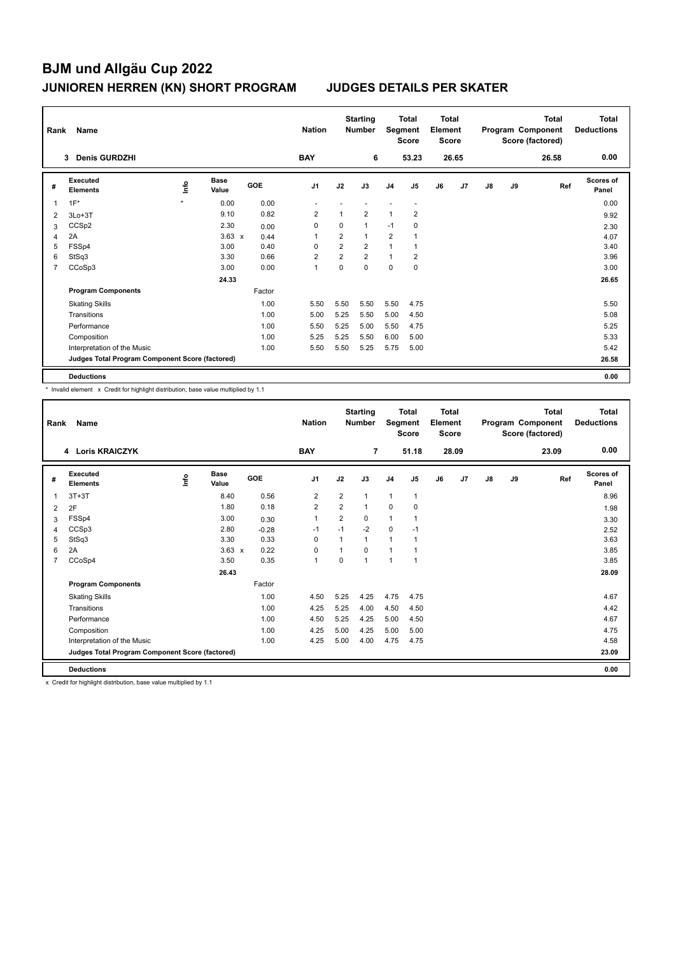|   | Rank<br>Name                                    |         |                      |            | <b>Nation</b>  |                | <b>Starting</b><br><b>Number</b> |                | <b>Total</b><br>Segment<br><b>Score</b> |    | <b>Total</b><br>Element<br><b>Score</b> |               | Program Component<br>Score (factored) | <b>Total</b><br><b>Deductions</b> |                    |
|---|-------------------------------------------------|---------|----------------------|------------|----------------|----------------|----------------------------------|----------------|-----------------------------------------|----|-----------------------------------------|---------------|---------------------------------------|-----------------------------------|--------------------|
|   | <b>Denis GURDZHI</b><br>3                       |         |                      |            | <b>BAY</b>     |                | 6                                |                | 53.23                                   |    | 26.65                                   |               |                                       | 26.58                             | 0.00               |
| # | <b>Executed</b><br><b>Elements</b>              | ١nf٥    | <b>Base</b><br>Value | <b>GOE</b> | J <sub>1</sub> | J2             | J3                               | J <sub>4</sub> | J5                                      | J6 | J7                                      | $\mathsf{J}8$ | J9                                    | Ref                               | Scores of<br>Panel |
| 1 | $1F^*$                                          | $\star$ | 0.00                 | 0.00       |                |                |                                  |                |                                         |    |                                         |               |                                       |                                   | 0.00               |
| 2 | $3Lo+3T$                                        |         | 9.10                 | 0.82       | 2              | 1              | $\overline{2}$                   | 1              | $\overline{2}$                          |    |                                         |               |                                       |                                   | 9.92               |
| 3 | CCS <sub>p2</sub>                               |         | 2.30                 | 0.00       | 0              | 0              | $\mathbf{1}$                     | $-1$           | 0                                       |    |                                         |               |                                       |                                   | 2.30               |
| 4 | 2A                                              |         | $3.63 \times$        | 0.44       | $\overline{1}$ | $\overline{2}$ | $\mathbf{1}$                     | $\overline{2}$ |                                         |    |                                         |               |                                       |                                   | 4.07               |
| 5 | FSSp4                                           |         | 3.00                 | 0.40       | 0              | $\overline{2}$ | $\overline{2}$                   | $\mathbf{1}$   |                                         |    |                                         |               |                                       |                                   | 3.40               |
| 6 | StSq3                                           |         | 3.30                 | 0.66       | $\overline{2}$ | $\overline{2}$ | $\overline{2}$                   | $\mathbf{1}$   | $\overline{2}$                          |    |                                         |               |                                       |                                   | 3.96               |
| 7 | CCoSp3                                          |         | 3.00                 | 0.00       | $\mathbf{1}$   | $\mathbf 0$    | $\Omega$                         | $\mathbf 0$    | 0                                       |    |                                         |               |                                       |                                   | 3.00               |
|   |                                                 |         | 24.33                |            |                |                |                                  |                |                                         |    |                                         |               |                                       |                                   | 26.65              |
|   | <b>Program Components</b>                       |         |                      | Factor     |                |                |                                  |                |                                         |    |                                         |               |                                       |                                   |                    |
|   | <b>Skating Skills</b>                           |         |                      | 1.00       | 5.50           | 5.50           | 5.50                             | 5.50           | 4.75                                    |    |                                         |               |                                       |                                   | 5.50               |
|   | Transitions                                     |         |                      | 1.00       | 5.00           | 5.25           | 5.50                             | 5.00           | 4.50                                    |    |                                         |               |                                       |                                   | 5.08               |
|   | Performance                                     |         |                      | 1.00       | 5.50           | 5.25           | 5.00                             | 5.50           | 4.75                                    |    |                                         |               |                                       |                                   | 5.25               |
|   | Composition                                     |         |                      | 1.00       | 5.25           | 5.25           | 5.50                             | 6.00           | 5.00                                    |    |                                         |               |                                       |                                   | 5.33               |
|   | Interpretation of the Music                     |         |                      | 1.00       | 5.50           | 5.50           | 5.25                             | 5.75           | 5.00                                    |    |                                         |               |                                       |                                   | 5.42               |
|   | Judges Total Program Component Score (factored) |         |                      |            |                |                |                                  |                |                                         |    |                                         |               |                                       |                                   | 26.58              |
|   | <b>Deductions</b>                               |         |                      |            |                |                |                                  |                |                                         |    |                                         |               |                                       |                                   | 0.00               |

\* Invalid element x Credit for highlight distribution, base value multiplied by 1.1

|                | Name<br>Rank                                    |      |                      |         | <b>Nation</b>  |                | <b>Starting</b><br><b>Number</b> | <b>Total</b><br>Segment<br><b>Score</b> |              | <b>Total</b><br>Element<br><b>Score</b> |       | <b>Total</b><br>Program Component<br>Score (factored) |    |       | <b>Total</b><br><b>Deductions</b> |
|----------------|-------------------------------------------------|------|----------------------|---------|----------------|----------------|----------------------------------|-----------------------------------------|--------------|-----------------------------------------|-------|-------------------------------------------------------|----|-------|-----------------------------------|
|                | 4 Loris KRAICZYK                                |      |                      |         | <b>BAY</b>     |                | $\overline{7}$                   |                                         | 51.18        |                                         | 28.09 |                                                       |    | 23.09 | 0.00                              |
| #              | Executed<br><b>Elements</b>                     | lnfo | <b>Base</b><br>Value | GOE     | J <sub>1</sub> | J2             | J3                               | J <sub>4</sub>                          | J5           | J6                                      | J7    | J8                                                    | J9 | Ref   | <b>Scores of</b><br>Panel         |
| 1              | $3T+3T$                                         |      | 8.40                 | 0.56    | $\overline{2}$ | $\overline{2}$ | 1                                | $\mathbf{1}$                            | $\mathbf{1}$ |                                         |       |                                                       |    |       | 8.96                              |
| 2              | 2F                                              |      | 1.80                 | 0.18    | 2              | 2              | 1                                | 0                                       | 0            |                                         |       |                                                       |    |       | 1.98                              |
| 3              | FSSp4                                           |      | 3.00                 | 0.30    | $\mathbf{1}$   | 2              | 0                                | $\mathbf{1}$                            |              |                                         |       |                                                       |    |       | 3.30                              |
| 4              | CCSp3                                           |      | 2.80                 | $-0.28$ | $-1$           | $-1$           | $-2$                             | $\mathbf 0$                             | $-1$         |                                         |       |                                                       |    |       | 2.52                              |
| 5              | StSq3                                           |      | 3.30                 | 0.33    | $\Omega$       | 1              | 1                                | $\overline{1}$                          |              |                                         |       |                                                       |    |       | 3.63                              |
| 6              | 2A                                              |      | $3.63 \times$        | 0.22    | $\mathbf 0$    | 1              | 0                                | $\mathbf{1}$                            |              |                                         |       |                                                       |    |       | 3.85                              |
| $\overline{7}$ | CCoSp4                                          |      | 3.50                 | 0.35    | $\mathbf{1}$   | $\Omega$       | 1                                | $\overline{1}$                          | 1            |                                         |       |                                                       |    |       | 3.85                              |
|                |                                                 |      | 26.43                |         |                |                |                                  |                                         |              |                                         |       |                                                       |    |       | 28.09                             |
|                | <b>Program Components</b>                       |      |                      | Factor  |                |                |                                  |                                         |              |                                         |       |                                                       |    |       |                                   |
|                | <b>Skating Skills</b>                           |      |                      | 1.00    | 4.50           | 5.25           | 4.25                             | 4.75                                    | 4.75         |                                         |       |                                                       |    |       | 4.67                              |
|                | Transitions                                     |      |                      | 1.00    | 4.25           | 5.25           | 4.00                             | 4.50                                    | 4.50         |                                         |       |                                                       |    |       | 4.42                              |
|                | Performance                                     |      |                      | 1.00    | 4.50           | 5.25           | 4.25                             | 5.00                                    | 4.50         |                                         |       |                                                       |    |       | 4.67                              |
|                | Composition                                     |      |                      | 1.00    | 4.25           | 5.00           | 4.25                             | 5.00                                    | 5.00         |                                         |       |                                                       |    |       | 4.75                              |
|                | Interpretation of the Music                     |      |                      | 1.00    | 4.25           | 5.00           | 4.00                             | 4.75                                    | 4.75         |                                         |       |                                                       |    |       | 4.58                              |
|                | Judges Total Program Component Score (factored) |      |                      |         |                |                |                                  |                                         |              |                                         |       |                                                       |    |       | 23.09                             |
|                | <b>Deductions</b>                               |      |                      |         |                |                |                                  |                                         |              |                                         |       |                                                       |    |       | 0.00                              |

x Credit for highlight distribution, base value multiplied by 1.1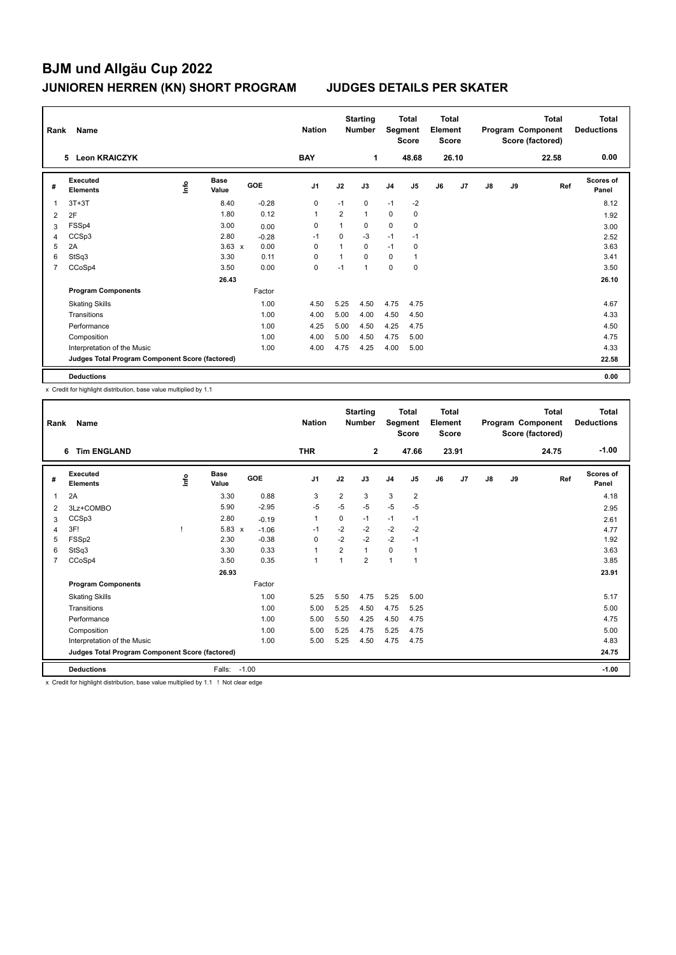| Rank<br>Name |                                                 |      |                      |            | <b>Starting</b><br><b>Nation</b><br><b>Number</b> |                |                | Total<br>Segment<br><b>Score</b> | <b>Total</b><br>Element<br><b>Score</b> |    |       |    | Total<br>Program Component<br>Score (factored) | <b>Total</b><br><b>Deductions</b> |                           |
|--------------|-------------------------------------------------|------|----------------------|------------|---------------------------------------------------|----------------|----------------|----------------------------------|-----------------------------------------|----|-------|----|------------------------------------------------|-----------------------------------|---------------------------|
|              | <b>Leon KRAICZYK</b><br>5                       |      |                      |            | <b>BAY</b>                                        |                | 1              |                                  | 48.68                                   |    | 26.10 |    |                                                | 22.58                             | 0.00                      |
| #            | Executed<br><b>Elements</b>                     | ١nf٥ | <b>Base</b><br>Value | <b>GOE</b> | J <sub>1</sub>                                    | J2             | J3             | J <sub>4</sub>                   | J5                                      | J6 | J7    | J8 | J9                                             | Ref                               | <b>Scores of</b><br>Panel |
| 1            | $3T+3T$                                         |      | 8.40                 | $-0.28$    | 0                                                 | $-1$           | 0              | $-1$                             | $-2$                                    |    |       |    |                                                |                                   | 8.12                      |
| 2            | 2F                                              |      | 1.80                 | 0.12       | $\overline{1}$                                    | $\overline{2}$ | $\mathbf{1}$   | $\mathbf 0$                      | 0                                       |    |       |    |                                                |                                   | 1.92                      |
| 3            | FSSp4                                           |      | 3.00                 | 0.00       | 0                                                 | 1              | 0              | 0                                | $\mathbf 0$                             |    |       |    |                                                |                                   | 3.00                      |
| 4            | CCSp3                                           |      | 2.80                 | $-0.28$    | $-1$                                              | 0              | $-3$           | $-1$                             | $-1$                                    |    |       |    |                                                |                                   | 2.52                      |
| 5            | 2A                                              |      | $3.63 \times$        | 0.00       | $\mathbf 0$                                       | $\overline{1}$ | $\mathbf 0$    | $-1$                             | 0                                       |    |       |    |                                                |                                   | 3.63                      |
| 6            | StSq3                                           |      | 3.30                 | 0.11       | $\mathbf 0$                                       | 1              | $\Omega$       | 0                                | $\mathbf{1}$                            |    |       |    |                                                |                                   | 3.41                      |
| 7            | CCoSp4                                          |      | 3.50                 | 0.00       | 0                                                 | $-1$           | $\overline{1}$ | 0                                | 0                                       |    |       |    |                                                |                                   | 3.50                      |
|              |                                                 |      | 26.43                |            |                                                   |                |                |                                  |                                         |    |       |    |                                                |                                   | 26.10                     |
|              | <b>Program Components</b>                       |      |                      | Factor     |                                                   |                |                |                                  |                                         |    |       |    |                                                |                                   |                           |
|              | <b>Skating Skills</b>                           |      |                      | 1.00       | 4.50                                              | 5.25           | 4.50           | 4.75                             | 4.75                                    |    |       |    |                                                |                                   | 4.67                      |
|              | Transitions                                     |      |                      | 1.00       | 4.00                                              | 5.00           | 4.00           | 4.50                             | 4.50                                    |    |       |    |                                                |                                   | 4.33                      |
|              | Performance                                     |      |                      | 1.00       | 4.25                                              | 5.00           | 4.50           | 4.25                             | 4.75                                    |    |       |    |                                                |                                   | 4.50                      |
|              | Composition                                     |      |                      | 1.00       | 4.00                                              | 5.00           | 4.50           | 4.75                             | 5.00                                    |    |       |    |                                                |                                   | 4.75                      |
|              | Interpretation of the Music                     |      |                      | 1.00       | 4.00                                              | 4.75           | 4.25           | 4.00                             | 5.00                                    |    |       |    |                                                |                                   | 4.33                      |
|              | Judges Total Program Component Score (factored) |      |                      |            |                                                   |                |                |                                  |                                         |    |       |    |                                                |                                   | 22.58                     |
|              | <b>Deductions</b>                               |      |                      |            |                                                   |                |                |                                  |                                         |    |       |    |                                                |                                   | 0.00                      |

x Credit for highlight distribution, base value multiplied by 1.1

| Rank           | Name                                            |      |                      |         | <b>Nation</b>  |                | <b>Starting</b><br><b>Number</b> | <b>Total</b><br>Segment<br><b>Score</b> |                | <b>Total</b><br>Element<br><b>Score</b> |                | <b>Total</b><br>Program Component<br>Score (factored) |    |       | <b>Total</b><br><b>Deductions</b> |
|----------------|-------------------------------------------------|------|----------------------|---------|----------------|----------------|----------------------------------|-----------------------------------------|----------------|-----------------------------------------|----------------|-------------------------------------------------------|----|-------|-----------------------------------|
|                | <b>Tim ENGLAND</b><br>6                         |      |                      |         | <b>THR</b>     |                | $\overline{2}$                   |                                         | 47.66          |                                         | 23.91          |                                                       |    | 24.75 | $-1.00$                           |
| #              | Executed<br><b>Elements</b>                     | Info | <b>Base</b><br>Value | GOE     | J <sub>1</sub> | J2             | J3                               | J <sub>4</sub>                          | J5             | J6                                      | J <sub>7</sub> | $\mathsf{J}8$                                         | J9 | Ref   | <b>Scores of</b><br>Panel         |
| 1              | 2A                                              |      | 3.30                 | 0.88    | 3              | $\overline{2}$ | 3                                | 3                                       | $\overline{2}$ |                                         |                |                                                       |    |       | 4.18                              |
| 2              | 3Lz+COMBO                                       |      | 5.90                 | $-2.95$ | $-5$           | $-5$           | $-5$                             | $-5$                                    | $-5$           |                                         |                |                                                       |    |       | 2.95                              |
| 3              | CCSp3                                           |      | 2.80                 | $-0.19$ | $\mathbf{1}$   | 0              | $-1$                             | $-1$                                    | $-1$           |                                         |                |                                                       |    |       | 2.61                              |
| $\overline{4}$ | 3F!                                             |      | 5.83<br>$\mathsf{x}$ | $-1.06$ | $-1$           | $-2$           | $-2$                             | $-2$                                    | $-2$           |                                         |                |                                                       |    |       | 4.77                              |
| 5              | FSSp2                                           |      | 2.30                 | $-0.38$ | $\Omega$       | $-2$           | $-2$                             | $-2$                                    | $-1$           |                                         |                |                                                       |    |       | 1.92                              |
| 6              | StSq3                                           |      | 3.30                 | 0.33    | $\mathbf{1}$   | $\overline{2}$ | 1                                | 0                                       | 1              |                                         |                |                                                       |    |       | 3.63                              |
| $\overline{7}$ | CCoSp4                                          |      | 3.50                 | 0.35    | $\mathbf{1}$   | 1              | $\overline{2}$                   | $\overline{1}$                          | $\mathbf{1}$   |                                         |                |                                                       |    |       | 3.85                              |
|                |                                                 |      | 26.93                |         |                |                |                                  |                                         |                |                                         |                |                                                       |    |       | 23.91                             |
|                | <b>Program Components</b>                       |      |                      | Factor  |                |                |                                  |                                         |                |                                         |                |                                                       |    |       |                                   |
|                | <b>Skating Skills</b>                           |      |                      | 1.00    | 5.25           | 5.50           | 4.75                             | 5.25                                    | 5.00           |                                         |                |                                                       |    |       | 5.17                              |
|                | Transitions                                     |      |                      | 1.00    | 5.00           | 5.25           | 4.50                             | 4.75                                    | 5.25           |                                         |                |                                                       |    |       | 5.00                              |
|                | Performance                                     |      |                      | 1.00    | 5.00           | 5.50           | 4.25                             | 4.50                                    | 4.75           |                                         |                |                                                       |    |       | 4.75                              |
|                | Composition                                     |      |                      | 1.00    | 5.00           | 5.25           | 4.75                             | 5.25                                    | 4.75           |                                         |                |                                                       |    |       | 5.00                              |
|                | Interpretation of the Music                     |      |                      | 1.00    | 5.00           | 5.25           | 4.50                             | 4.75                                    | 4.75           |                                         |                |                                                       |    |       | 4.83                              |
|                | Judges Total Program Component Score (factored) |      |                      |         |                |                |                                  |                                         |                |                                         |                |                                                       |    |       | 24.75                             |
|                | <b>Deductions</b>                               |      | Falls:               | $-1.00$ |                |                |                                  |                                         |                |                                         |                |                                                       |    |       | $-1.00$                           |

x Credit for highlight distribution, base value multiplied by 1.1 ! Not clear edge